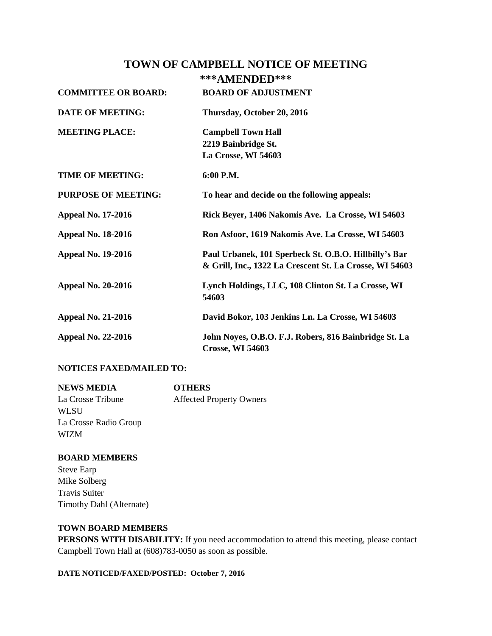## **TOWN OF CAMPBELL NOTICE OF MEETING**

# **\*\*\*AMENDED\*\*\***

| <b>COMMITTEE OR BOARD:</b> | <b>BOARD OF ADJUSTMENT</b>                                                                                       |
|----------------------------|------------------------------------------------------------------------------------------------------------------|
| <b>DATE OF MEETING:</b>    | Thursday, October 20, 2016                                                                                       |
| <b>MEETING PLACE:</b>      | <b>Campbell Town Hall</b><br>2219 Bainbridge St.<br>La Crosse, WI 54603                                          |
| <b>TIME OF MEETING:</b>    | 6:00 P.M.                                                                                                        |
| <b>PURPOSE OF MEETING:</b> | To hear and decide on the following appeals:                                                                     |
| <b>Appeal No. 17-2016</b>  | Rick Beyer, 1406 Nakomis Ave. La Crosse, WI 54603                                                                |
| <b>Appeal No. 18-2016</b>  | Ron Asfoor, 1619 Nakomis Ave. La Crosse, WI 54603                                                                |
| <b>Appeal No. 19-2016</b>  | Paul Urbanek, 101 Sperbeck St. O.B.O. Hillbilly's Bar<br>& Grill, Inc., 1322 La Crescent St. La Crosse, WI 54603 |
| <b>Appeal No. 20-2016</b>  | Lynch Holdings, LLC, 108 Clinton St. La Crosse, WI<br>54603                                                      |
| <b>Appeal No. 21-2016</b>  | David Bokor, 103 Jenkins Ln. La Crosse, WI 54603                                                                 |
| <b>Appeal No. 22-2016</b>  | John Noyes, O.B.O. F.J. Robers, 816 Bainbridge St. La<br><b>Crosse, WI 54603</b>                                 |

#### **NOTICES FAXED/MAILED TO:**

| <b>NEWS MEDIA</b>     | <b>OTHERS</b>                   |
|-----------------------|---------------------------------|
| La Crosse Tribune     | <b>Affected Property Owners</b> |
| WLSU                  |                                 |
| La Crosse Radio Group |                                 |
| <b>WIZM</b>           |                                 |

#### **BOARD MEMBERS**

Steve Earp Mike Solberg Travis Suiter Timothy Dahl (Alternate)

#### **TOWN BOARD MEMBERS**

**PERSONS WITH DISABILITY:** If you need accommodation to attend this meeting, please contact Campbell Town Hall at (608)783-0050 as soon as possible.

**DATE NOTICED/FAXED/POSTED: October 7, 2016**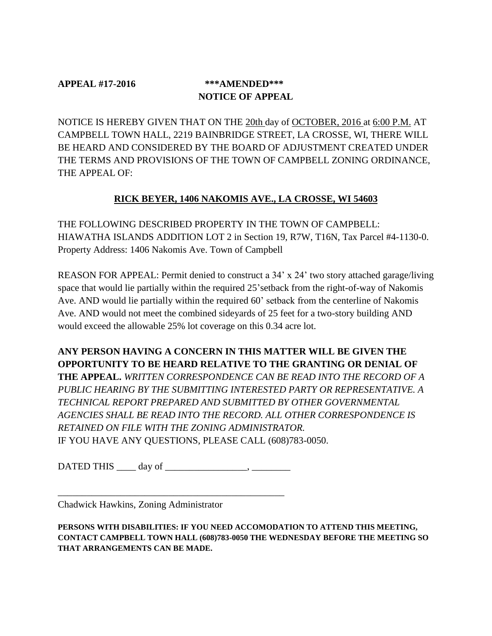# **APPEAL #17-2016 \*\*\*AMENDED\*\*\* NOTICE OF APPEAL**

NOTICE IS HEREBY GIVEN THAT ON THE 20th day of OCTOBER, 2016 at 6:00 P.M. AT CAMPBELL TOWN HALL, 2219 BAINBRIDGE STREET, LA CROSSE, WI, THERE WILL BE HEARD AND CONSIDERED BY THE BOARD OF ADJUSTMENT CREATED UNDER THE TERMS AND PROVISIONS OF THE TOWN OF CAMPBELL ZONING ORDINANCE, THE APPEAL OF:

## **RICK BEYER, 1406 NAKOMIS AVE., LA CROSSE, WI 54603**

THE FOLLOWING DESCRIBED PROPERTY IN THE TOWN OF CAMPBELL: HIAWATHA ISLANDS ADDITION LOT 2 in Section 19, R7W, T16N, Tax Parcel #4-1130-0. Property Address: 1406 Nakomis Ave. Town of Campbell

REASON FOR APPEAL: Permit denied to construct a 34' x 24' two story attached garage/living space that would lie partially within the required 25'setback from the right-of-way of Nakomis Ave. AND would lie partially within the required 60' setback from the centerline of Nakomis Ave. AND would not meet the combined sideyards of 25 feet for a two-story building AND would exceed the allowable 25% lot coverage on this 0.34 acre lot.

**ANY PERSON HAVING A CONCERN IN THIS MATTER WILL BE GIVEN THE OPPORTUNITY TO BE HEARD RELATIVE TO THE GRANTING OR DENIAL OF THE APPEAL.** *WRITTEN CORRESPONDENCE CAN BE READ INTO THE RECORD OF A PUBLIC HEARING BY THE SUBMITTING INTERESTED PARTY OR REPRESENTATIVE. A TECHNICAL REPORT PREPARED AND SUBMITTED BY OTHER GOVERNMENTAL AGENCIES SHALL BE READ INTO THE RECORD. ALL OTHER CORRESPONDENCE IS RETAINED ON FILE WITH THE ZONING ADMINISTRATOR.*  IF YOU HAVE ANY QUESTIONS, PLEASE CALL (608)783-0050.

DATED THIS \_\_\_\_ day of \_\_\_\_\_\_\_\_\_\_\_\_\_\_\_\_\_, \_\_\_\_\_\_\_\_

\_\_\_\_\_\_\_\_\_\_\_\_\_\_\_\_\_\_\_\_\_\_\_\_\_\_\_\_\_\_\_\_\_\_\_\_\_\_\_\_\_\_\_\_\_\_\_

Chadwick Hawkins, Zoning Administrator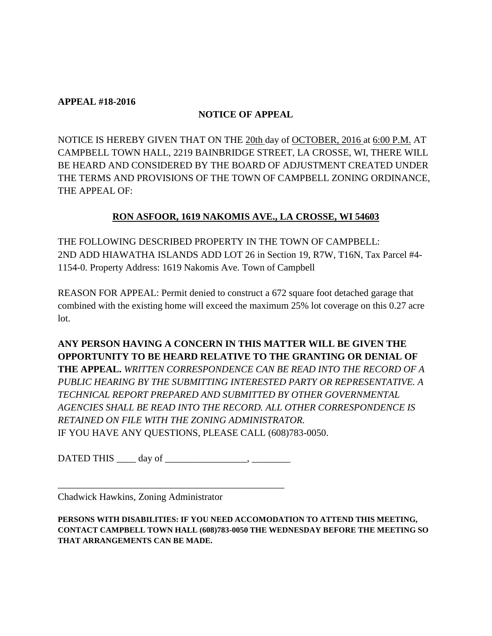### **APPEAL #18-2016**

## **NOTICE OF APPEAL**

NOTICE IS HEREBY GIVEN THAT ON THE 20th day of OCTOBER, 2016 at 6:00 P.M. AT CAMPBELL TOWN HALL, 2219 BAINBRIDGE STREET, LA CROSSE, WI, THERE WILL BE HEARD AND CONSIDERED BY THE BOARD OF ADJUSTMENT CREATED UNDER THE TERMS AND PROVISIONS OF THE TOWN OF CAMPBELL ZONING ORDINANCE, THE APPEAL OF:

## **RON ASFOOR, 1619 NAKOMIS AVE., LA CROSSE, WI 54603**

THE FOLLOWING DESCRIBED PROPERTY IN THE TOWN OF CAMPBELL: 2ND ADD HIAWATHA ISLANDS ADD LOT 26 in Section 19, R7W, T16N, Tax Parcel #4- 1154-0. Property Address: 1619 Nakomis Ave. Town of Campbell

REASON FOR APPEAL: Permit denied to construct a 672 square foot detached garage that combined with the existing home will exceed the maximum 25% lot coverage on this 0.27 acre lot.

**ANY PERSON HAVING A CONCERN IN THIS MATTER WILL BE GIVEN THE OPPORTUNITY TO BE HEARD RELATIVE TO THE GRANTING OR DENIAL OF THE APPEAL.** *WRITTEN CORRESPONDENCE CAN BE READ INTO THE RECORD OF A PUBLIC HEARING BY THE SUBMITTING INTERESTED PARTY OR REPRESENTATIVE. A TECHNICAL REPORT PREPARED AND SUBMITTED BY OTHER GOVERNMENTAL AGENCIES SHALL BE READ INTO THE RECORD. ALL OTHER CORRESPONDENCE IS RETAINED ON FILE WITH THE ZONING ADMINISTRATOR.*  IF YOU HAVE ANY QUESTIONS, PLEASE CALL (608)783-0050.

 $\blacksquare$ DATED THIS  $\blacksquare$  day of  $\blacksquare$ 

\_\_\_\_\_\_\_\_\_\_\_\_\_\_\_\_\_\_\_\_\_\_\_\_\_\_\_\_\_\_\_\_\_\_\_\_\_\_\_\_\_\_\_\_\_\_\_

Chadwick Hawkins, Zoning Administrator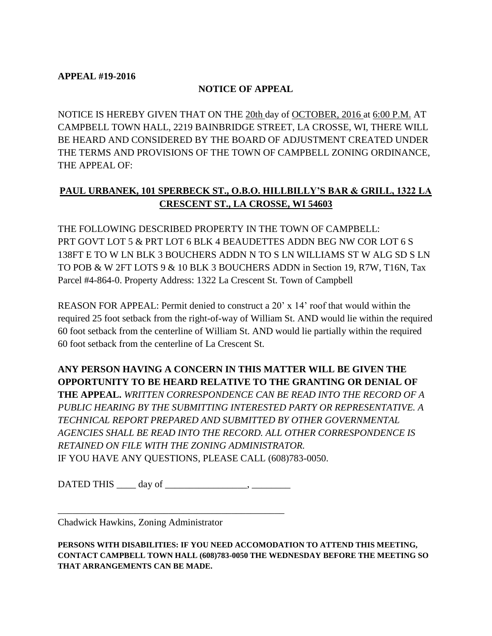#### **APPEAL #19-2016**

### **NOTICE OF APPEAL**

NOTICE IS HEREBY GIVEN THAT ON THE 20th day of OCTOBER, 2016 at 6:00 P.M. AT CAMPBELL TOWN HALL, 2219 BAINBRIDGE STREET, LA CROSSE, WI, THERE WILL BE HEARD AND CONSIDERED BY THE BOARD OF ADJUSTMENT CREATED UNDER THE TERMS AND PROVISIONS OF THE TOWN OF CAMPBELL ZONING ORDINANCE, THE APPEAL OF:

# **PAUL URBANEK, 101 SPERBECK ST., O.B.O. HILLBILLY'S BAR & GRILL, 1322 LA CRESCENT ST., LA CROSSE, WI 54603**

THE FOLLOWING DESCRIBED PROPERTY IN THE TOWN OF CAMPBELL: PRT GOVT LOT 5 & PRT LOT 6 BLK 4 BEAUDETTES ADDN BEG NW COR LOT 6 S 138FT E TO W LN BLK 3 BOUCHERS ADDN N TO S LN WILLIAMS ST W ALG SD S LN TO POB & W 2FT LOTS 9 & 10 BLK 3 BOUCHERS ADDN in Section 19, R7W, T16N, Tax Parcel #4-864-0. Property Address: 1322 La Crescent St. Town of Campbell

REASON FOR APPEAL: Permit denied to construct a 20' x 14' roof that would within the required 25 foot setback from the right-of-way of William St. AND would lie within the required 60 foot setback from the centerline of William St. AND would lie partially within the required 60 foot setback from the centerline of La Crescent St.

**ANY PERSON HAVING A CONCERN IN THIS MATTER WILL BE GIVEN THE OPPORTUNITY TO BE HEARD RELATIVE TO THE GRANTING OR DENIAL OF THE APPEAL.** *WRITTEN CORRESPONDENCE CAN BE READ INTO THE RECORD OF A PUBLIC HEARING BY THE SUBMITTING INTERESTED PARTY OR REPRESENTATIVE. A TECHNICAL REPORT PREPARED AND SUBMITTED BY OTHER GOVERNMENTAL AGENCIES SHALL BE READ INTO THE RECORD. ALL OTHER CORRESPONDENCE IS RETAINED ON FILE WITH THE ZONING ADMINISTRATOR.*  IF YOU HAVE ANY QUESTIONS, PLEASE CALL (608)783-0050.

DATED THIS \_\_\_\_ day of \_\_\_\_\_\_\_\_\_\_\_\_\_\_\_\_\_, \_\_\_\_\_\_\_\_

\_\_\_\_\_\_\_\_\_\_\_\_\_\_\_\_\_\_\_\_\_\_\_\_\_\_\_\_\_\_\_\_\_\_\_\_\_\_\_\_\_\_\_\_\_\_\_

Chadwick Hawkins, Zoning Administrator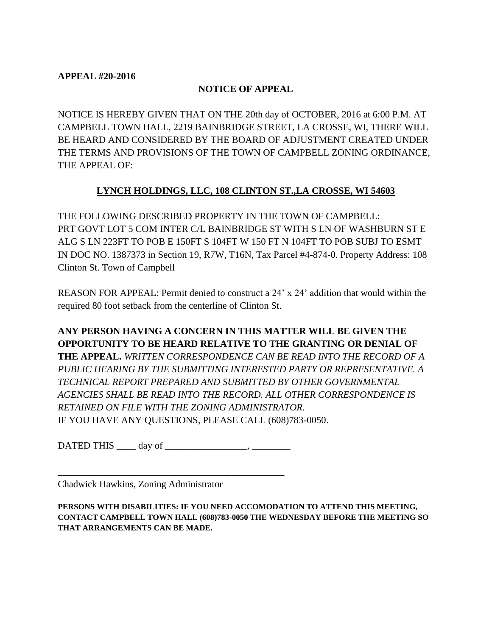### **APPEAL #20-2016**

## **NOTICE OF APPEAL**

NOTICE IS HEREBY GIVEN THAT ON THE 20th day of OCTOBER, 2016 at 6:00 P.M. AT CAMPBELL TOWN HALL, 2219 BAINBRIDGE STREET, LA CROSSE, WI, THERE WILL BE HEARD AND CONSIDERED BY THE BOARD OF ADJUSTMENT CREATED UNDER THE TERMS AND PROVISIONS OF THE TOWN OF CAMPBELL ZONING ORDINANCE, THE APPEAL OF:

## **LYNCH HOLDINGS, LLC, 108 CLINTON ST.,LA CROSSE, WI 54603**

THE FOLLOWING DESCRIBED PROPERTY IN THE TOWN OF CAMPBELL: PRT GOVT LOT 5 COM INTER C/L BAINBRIDGE ST WITH S LN OF WASHBURN ST E ALG S LN 223FT TO POB E 150FT S 104FT W 150 FT N 104FT TO POB SUBJ TO ESMT IN DOC NO. 1387373 in Section 19, R7W, T16N, Tax Parcel #4-874-0. Property Address: 108 Clinton St. Town of Campbell

REASON FOR APPEAL: Permit denied to construct a 24' x 24' addition that would within the required 80 foot setback from the centerline of Clinton St.

**ANY PERSON HAVING A CONCERN IN THIS MATTER WILL BE GIVEN THE OPPORTUNITY TO BE HEARD RELATIVE TO THE GRANTING OR DENIAL OF THE APPEAL.** *WRITTEN CORRESPONDENCE CAN BE READ INTO THE RECORD OF A PUBLIC HEARING BY THE SUBMITTING INTERESTED PARTY OR REPRESENTATIVE. A TECHNICAL REPORT PREPARED AND SUBMITTED BY OTHER GOVERNMENTAL AGENCIES SHALL BE READ INTO THE RECORD. ALL OTHER CORRESPONDENCE IS RETAINED ON FILE WITH THE ZONING ADMINISTRATOR.*  IF YOU HAVE ANY QUESTIONS, PLEASE CALL (608)783-0050.

 $\blacksquare$ DATED THIS  $\blacksquare$  day of  $\blacksquare$ 

\_\_\_\_\_\_\_\_\_\_\_\_\_\_\_\_\_\_\_\_\_\_\_\_\_\_\_\_\_\_\_\_\_\_\_\_\_\_\_\_\_\_\_\_\_\_\_

Chadwick Hawkins, Zoning Administrator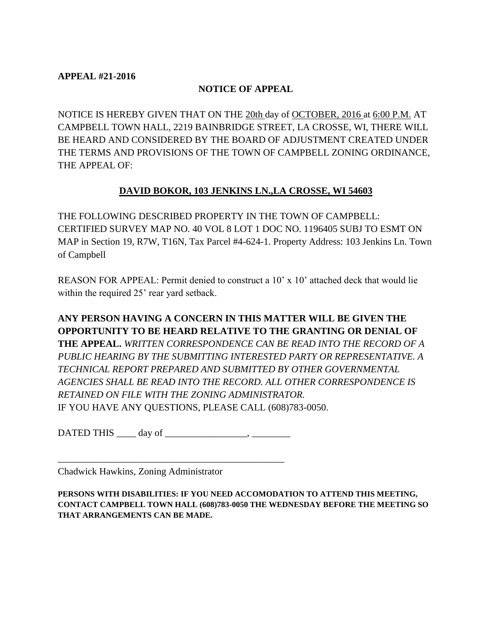### **APPEAL #21-2016**

## **NOTICE OF APPEAL**

NOTICE IS HEREBY GIVEN THAT ON THE 20th day of OCTOBER, 2016 at 6:00 P.M. AT CAMPBELL TOWN HALL, 2219 BAINBRIDGE STREET, LA CROSSE, WI, THERE WILL BE HEARD AND CONSIDERED BY THE BOARD OF ADJUSTMENT CREATED UNDER THE TERMS AND PROVISIONS OF THE TOWN OF CAMPBELL ZONING ORDINANCE, THE APPEAL OF:

## **DAVID BOKOR, 103 JENKINS LN.,LA CROSSE, WI 54603**

THE FOLLOWING DESCRIBED PROPERTY IN THE TOWN OF CAMPBELL: CERTIFIED SURVEY MAP NO. 40 VOL 8 LOT 1 DOC NO. 1196405 SUBJ TO ESMT ON MAP in Section 19, R7W, T16N, Tax Parcel #4-624-1. Property Address: 103 Jenkins Ln. Town of Campbell

REASON FOR APPEAL: Permit denied to construct a 10' x 10' attached deck that would lie within the required 25' rear yard setback.

# **ANY PERSON HAVING A CONCERN IN THIS MATTER WILL BE GIVEN THE OPPORTUNITY TO BE HEARD RELATIVE TO THE GRANTING OR DENIAL OF THE APPEAL.** *WRITTEN CORRESPONDENCE CAN BE READ INTO THE RECORD OF A PUBLIC HEARING BY THE SUBMITTING INTERESTED PARTY OR REPRESENTATIVE. A TECHNICAL REPORT PREPARED AND SUBMITTED BY OTHER GOVERNMENTAL AGENCIES SHALL BE READ INTO THE RECORD. ALL OTHER CORRESPONDENCE IS RETAINED ON FILE WITH THE ZONING ADMINISTRATOR.*  IF YOU HAVE ANY QUESTIONS, PLEASE CALL (608)783-0050.

 $\text{DATED}$  THIS  $\_\_\_\text{day\,of}$ 

\_\_\_\_\_\_\_\_\_\_\_\_\_\_\_\_\_\_\_\_\_\_\_\_\_\_\_\_\_\_\_\_\_\_\_\_\_\_\_\_\_\_\_\_\_\_\_

Chadwick Hawkins, Zoning Administrator